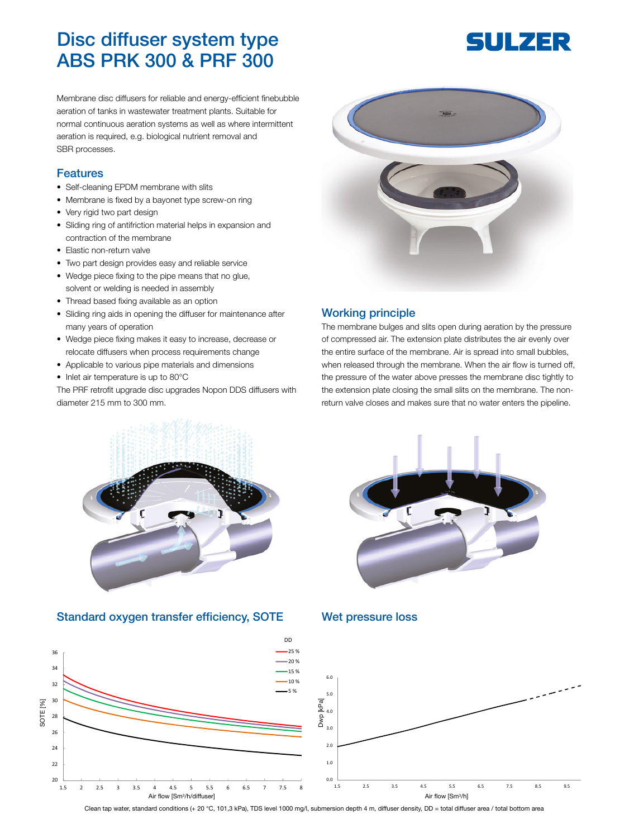# Disc diffuser system type ABS PRK 300 & PRF 300

Membrane disc diffusers for reliable and energy-efficient finebubble aeration of tanks in wastewater treatment plants. Suitable for normal continuous aeration systems as well as where intermittent aeration is required, e.g. biological nutrient removal and SBR processes.

#### Features

- Self-cleaning EPDM membrane with slits
- Membrane is fixed by a bayonet type screw-on ring
- Very rigid two part design
- Sliding ring of antifriction material helps in expansion and contraction of the membrane
- Elastic non-return valve
- Two part design provides easy and reliable service
- Wedge piece fixing to the pipe means that no glue, solvent or welding is needed in assembly
- Thread based fixing available as an option
- Sliding ring aids in opening the diffuser for maintenance after many years of operation
- Wedge piece fixing makes it easy to increase, decrease or relocate diffusers when process requirements change
- Applicable to various pipe materials and dimensions
- Inlet air temperature is up to 80°C

The PRF retrofit upgrade disc upgrades Nopon DDS diffusers with diameter 215 mm to 300 mm.



#### Working principle

The membrane bulges and slits open during aeration by the pressure of compressed air. The extension plate distributes the air evenly over the entire surface of the membrane. Air is spread into small bubbles, when released through the membrane. When the air flow is turned off, the pressure of the water above presses the membrane disc tightly to the extension plate closing the small slits on the membrane. The nonreturn valve closes and makes sure that no water enters the pipeline.



#### Standard oxygen transfer efficiency, SOTE Wet pressure loss





Clean tap water, standard conditions (+ 20 °C, 101,3 kPa), TDS level 1000 mg/l, submersion depth 4 m, diffuser density, DD = total diffuser area / total bottom area